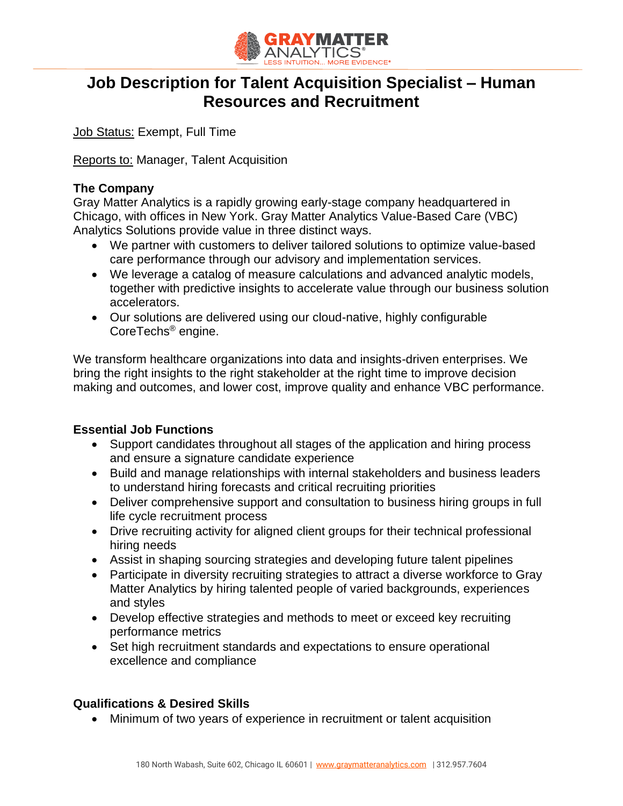

## **Job Description for Talent Acquisition Specialist – Human Resources and Recruitment**

Job Status: Exempt, Full Time

Reports to: Manager, Talent Acquisition

## **The Company**

Gray Matter Analytics is a rapidly growing early-stage company headquartered in Chicago, with offices in New York. Gray Matter Analytics Value-Based Care (VBC) Analytics Solutions provide value in three distinct ways.

- We partner with customers to deliver tailored solutions to optimize value-based care performance through our advisory and implementation services.
- We leverage a catalog of measure calculations and advanced analytic models, together with predictive insights to accelerate value through our business solution accelerators.
- Our solutions are delivered using our cloud-native, highly configurable CoreTechs® engine.

We transform healthcare organizations into data and insights-driven enterprises. We bring the right insights to the right stakeholder at the right time to improve decision making and outcomes, and lower cost, improve quality and enhance VBC performance.

## **Essential Job Functions**

- Support candidates throughout all stages of the application and hiring process and ensure a signature candidate experience
- Build and manage relationships with internal stakeholders and business leaders to understand hiring forecasts and critical recruiting priorities
- Deliver comprehensive support and consultation to business hiring groups in full life cycle recruitment process
- Drive recruiting activity for aligned client groups for their technical professional hiring needs
- Assist in shaping sourcing strategies and developing future talent pipelines
- Participate in diversity recruiting strategies to attract a diverse workforce to Gray Matter Analytics by hiring talented people of varied backgrounds, experiences and styles
- Develop effective strategies and methods to meet or exceed key recruiting performance metrics
- Set high recruitment standards and expectations to ensure operational excellence and compliance

## **Qualifications & Desired Skills**

• Minimum of two years of experience in recruitment or talent acquisition